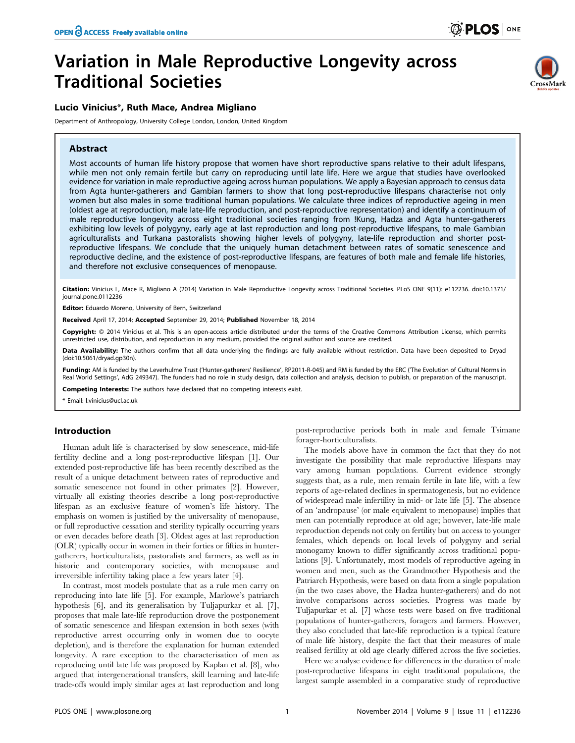# Lucio Vinicius\*, Ruth Mace, Andrea Migliano

Department of Anthropology, University College London, London, United Kingdom

# Abstract



Most accounts of human life history propose that women have short reproductive spans relative to their adult lifespans, while men not only remain fertile but carry on reproducing until late life. Here we argue that studies have overlooked evidence for variation in male reproductive ageing across human populations. We apply a Bayesian approach to census data from Agta hunter-gatherers and Gambian farmers to show that long post-reproductive lifespans characterise not only women but also males in some traditional human populations. We calculate three indices of reproductive ageing in men (oldest age at reproduction, male late-life reproduction, and post-reproductive representation) and identify a continuum of male reproductive longevity across eight traditional societies ranging from !Kung, Hadza and Agta hunter-gatherers exhibiting low levels of polygyny, early age at last reproduction and long post-reproductive lifespans, to male Gambian agriculturalists and Turkana pastoralists showing higher levels of polygyny, late-life reproduction and shorter postreproductive lifespans. We conclude that the uniquely human detachment between rates of somatic senescence and reproductive decline, and the existence of post-reproductive lifespans, are features of both male and female life histories, and therefore not exclusive consequences of menopause.

Citation: Vinicius L, Mace R, Migliano A (2014) Variation in Male Reproductive Longevity across Traditional Societies. PLoS ONE 9(11): e112236. doi:10.1371/ journal.pone.0112236

Editor: Eduardo Moreno, University of Bern, Switzerland

Received April 17, 2014; Accepted September 29, 2014; Published November 18, 2014

Copyright: © 2014 Vinicius et al. This is an open-access article distributed under the terms of the [Creative Commons Attribution License,](http://creativecommons.org/licenses/by/4.0/) which permits unrestricted use, distribution, and reproduction in any medium, provided the original author and source are credited.

Data Availability: The authors confirm that all data underlying the findings are fully available without restriction. Data have been deposited to Dryad (doi:10.5061/dryad.gp30n).

Funding: AM is funded by the Leverhulme Trust ('Hunter-gatherers' Resilience', RP2011-R-045) and RM is funded by the ERC ('The Evolution of Cultural Norms in Real World Settings', AdG 249347). The funders had no role in study design, data collection and analysis, decision to publish, or preparation of the manuscript.

Competing Interests: The authors have declared that no competing interests exist.

\* Email: l.vinicius@ucl.ac.uk

## Introduction

Human adult life is characterised by slow senescence, mid-life fertility decline and a long post-reproductive lifespan [1]. Our extended post-reproductive life has been recently described as the result of a unique detachment between rates of reproductive and somatic senescence not found in other primates [2]. However, virtually all existing theories describe a long post-reproductive lifespan as an exclusive feature of women's life history. The emphasis on women is justified by the universality of menopause, or full reproductive cessation and sterility typically occurring years or even decades before death [3]. Oldest ages at last reproduction (OLR) typically occur in women in their forties or fifties in huntergatherers, horticulturalists, pastoralists and farmers, as well as in historic and contemporary societies, with menopause and irreversible infertility taking place a few years later [4].

In contrast, most models postulate that as a rule men carry on reproducing into late life [5]. For example, Marlowe's patriarch hypothesis [6], and its generalisation by Tuljapurkar et al. [7], proposes that male late-life reproduction drove the postponement of somatic senescence and lifespan extension in both sexes (with reproductive arrest occurring only in women due to oocyte depletion), and is therefore the explanation for human extended longevity. A rare exception to the characterisation of men as reproducing until late life was proposed by Kaplan et al. [8], who argued that intergenerational transfers, skill learning and late-life trade-offs would imply similar ages at last reproduction and long

post-reproductive periods both in male and female Tsimane forager-horticulturalists.

The models above have in common the fact that they do not investigate the possibility that male reproductive lifespans may vary among human populations. Current evidence strongly suggests that, as a rule, men remain fertile in late life, with a few reports of age-related declines in spermatogenesis, but no evidence of widespread male infertility in mid- or late life [5]. The absence of an 'andropause' (or male equivalent to menopause) implies that men can potentially reproduce at old age; however, late-life male reproduction depends not only on fertility but on access to younger females, which depends on local levels of polygyny and serial monogamy known to differ significantly across traditional populations [9]. Unfortunately, most models of reproductive ageing in women and men, such as the Grandmother Hypothesis and the Patriarch Hypothesis, were based on data from a single population (in the two cases above, the Hadza hunter-gatherers) and do not involve comparisons across societies. Progress was made by Tuljapurkar et al. [7] whose tests were based on five traditional populations of hunter-gatherers, foragers and farmers. However, they also concluded that late-life reproduction is a typical feature of male life history, despite the fact that their measures of male realised fertility at old age clearly differed across the five societies.

Here we analyse evidence for differences in the duration of male post-reproductive lifespans in eight traditional populations, the largest sample assembled in a comparative study of reproductive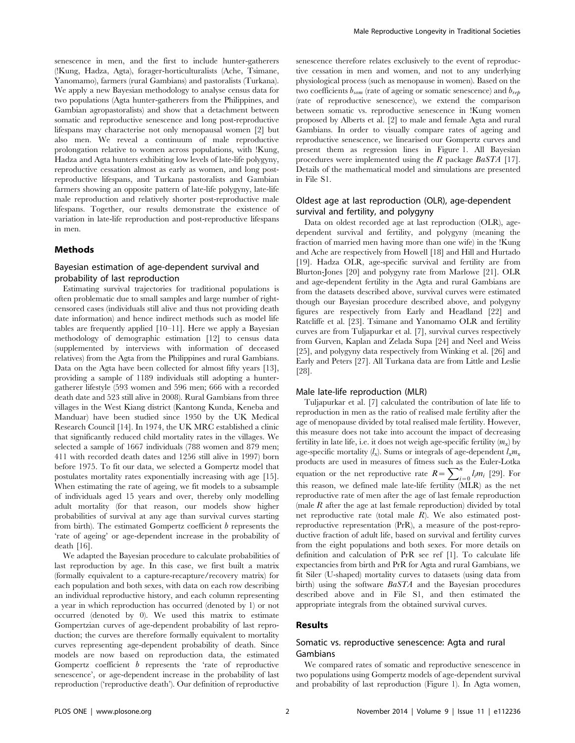senescence in men, and the first to include hunter-gatherers (!Kung, Hadza, Agta), forager-horticulturalists (Ache, Tsimane, Yanomamo), farmers (rural Gambians) and pastoralists (Turkana). We apply a new Bayesian methodology to analyse census data for two populations (Agta hunter-gatherers from the Philippines, and Gambian agropastoralists) and show that a detachment between somatic and reproductive senescence and long post-reproductive lifespans may characterise not only menopausal women [2] but also men. We reveal a continuum of male reproductive prolongation relative to women across populations, with !Kung, Hadza and Agta hunters exhibiting low levels of late-life polygyny, reproductive cessation almost as early as women, and long postreproductive lifespans, and Turkana pastoralists and Gambian farmers showing an opposite pattern of late-life polygyny, late-life male reproduction and relatively shorter post-reproductive male lifespans. Together, our results demonstrate the existence of variation in late-life reproduction and post-reproductive lifespans in men.

### Methods

# Bayesian estimation of age-dependent survival and probability of last reproduction

Estimating survival trajectories for traditional populations is often problematic due to small samples and large number of rightcensored cases (individuals still alive and thus not providing death date information) and hence indirect methods such as model life tables are frequently applied [10–11]. Here we apply a Bayesian methodology of demographic estimation [12] to census data (supplemented by interviews with information of deceased relatives) from the Agta from the Philippines and rural Gambians. Data on the Agta have been collected for almost fifty years [13], providing a sample of 1189 individuals still adopting a huntergatherer lifestyle (593 women and 596 men; 666 with a recorded death date and 523 still alive in 2008). Rural Gambians from three villages in the West Kiang district (Kantong Kunda, Keneba and Manduar) have been studied since 1950 by the UK Medical Research Council [14]. In 1974, the UK MRC established a clinic that significantly reduced child mortality rates in the villages. We selected a sample of 1667 individuals (788 women and 879 men; 411 with recorded death dates and 1256 still alive in 1997) born before 1975. To fit our data, we selected a Gompertz model that postulates mortality rates exponentially increasing with age [15]. When estimating the rate of ageing, we fit models to a subsample of individuals aged 15 years and over, thereby only modelling adult mortality (for that reason, our models show higher probabilities of survival at any age than survival curves starting from birth). The estimated Gompertz coefficient  $b$  represents the 'rate of ageing' or age-dependent increase in the probability of death [16].

We adapted the Bayesian procedure to calculate probabilities of last reproduction by age. In this case, we first built a matrix (formally equivalent to a capture-recapture/recovery matrix) for each population and both sexes, with data on each row describing an individual reproductive history, and each column representing a year in which reproduction has occurred (denoted by 1) or not occurred (denoted by 0). We used this matrix to estimate Gompertzian curves of age-dependent probability of last reproduction; the curves are therefore formally equivalent to mortality curves representing age-dependent probability of death. Since models are now based on reproduction data, the estimated Gompertz coefficient b represents the 'rate of reproductive senescence', or age-dependent increase in the probability of last reproduction ('reproductive death'). Our definition of reproductive senescence therefore relates exclusively to the event of reproductive cessation in men and women, and not to any underlying physiological process (such as menopause in women). Based on the two coefficients  $b_{\text{som}}$  (rate of ageing or somatic senescence) and  $b_{\text{reb}}$ (rate of reproductive senescence), we extend the comparison between somatic vs. reproductive senescence in !Kung women proposed by Alberts et al. [2] to male and female Agta and rural Gambians. In order to visually compare rates of ageing and reproductive senescence, we linearised our Gompertz curves and present them as regression lines in Figure 1. All Bayesian procedures were implemented using the R package BaSTA [17]. Details of the mathematical model and simulations are presented in File S1.

# Oldest age at last reproduction (OLR), age-dependent survival and fertility, and polygyny

Data on oldest recorded age at last reproduction (OLR), agedependent survival and fertility, and polygyny (meaning the fraction of married men having more than one wife) in the !Kung and Ache are respectively from Howell [18] and Hill and Hurtado [19]. Hadza OLR, age-specific survival and fertility are from Blurton-Jones [20] and polygyny rate from Marlowe [21]. OLR and age-dependent fertility in the Agta and rural Gambians are from the datasets described above, survival curves were estimated though our Bayesian procedure described above, and polygyny figures are respectively from Early and Headland [22] and Ratcliffe et al. [23]. Tsimane and Yanomamo OLR and fertility curves are from Tuljapurkar et al. [7], survival curves respectively from Gurven, Kaplan and Zelada Supa [24] and Neel and Weiss [25], and polygyny data respectively from Winking et al. [26] and Early and Peters [27]. All Turkana data are from Little and Leslie [28].

#### Male late-life reproduction (MLR)

Tuljapurkar et al. [7] calculated the contribution of late life to reproduction in men as the ratio of realised male fertility after the age of menopause divided by total realised male fertility. However, this measure does not take into account the impact of decreasing fertility in late life, i.e. it does not weigh age-specific fertility  $(m_x)$  by age-specific mortality  $(l_x)$ . Sums or integrals of age-dependent  $l_x m_x$ products are used in measures of fitness such as the Euler-Lotka equation or the net reproductive rate  $R = \sum_{i=0}^{n} l_i m_i$  [29]. For this reason, we defined male late-life fertility (MLR) as the net reproductive rate of men after the age of last female reproduction (male  $R$  after the age at last female reproduction) divided by total net reproductive rate (total male R). We also estimated postreproductive representation (PrR), a measure of the post-reproductive fraction of adult life, based on survival and fertility curves from the eight populations and both sexes. For more details on definition and calculation of PrR see ref [1]. To calculate life expectancies from birth and PrR for Agta and rural Gambians, we fit Siler (U-shaped) mortality curves to datasets (using data from birth) using the software BaSTA and the Bayesian procedures described above and in File S1, and then estimated the appropriate integrals from the obtained survival curves.

### Results

## Somatic vs. reproductive senescence: Agta and rural Gambians

We compared rates of somatic and reproductive senescence in two populations using Gompertz models of age-dependent survival and probability of last reproduction (Figure 1). In Agta women,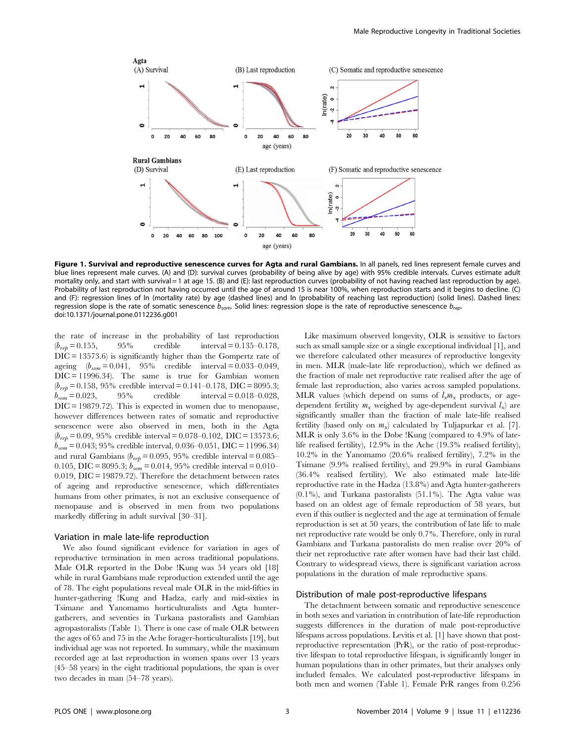

Figure 1. Survival and reproductive senescence curves for Agta and rural Gambians. In all panels, red lines represent female curves and blue lines represent male curves. (A) and (D): survival curves (probability of being alive by age) with 95% credible intervals. Curves estimate adult mortality only, and start with survival = 1 at age 15. (B) and (E): last reproduction curves (probability of not having reached last reproduction by age). Probability of last reproduction not having occurred until the age of around 15 is near 100%, when reproduction starts and it begins to decline. (C) and (F): regression lines of ln (mortality rate) by age (dashed lines) and ln (probability of reaching last reproduction) (solid lines). Dashed lines: regression slope is the rate of somatic senescence  $b_{som}$ . Solid lines: regression slope is the rate of reproductive senescence  $b_{rep}$ . doi:10.1371/journal.pone.0112236.g001

the rate of increase in the probability of last reproduction  $(b_{\text{ref}} = 0.155,$  95% credible interval = 0.135–0.178, DIC = 13573.6) is significantly higher than the Gompertz rate of ageing  $(b_{\text{som}} = 0.041, 95\%$  credible interval = 0.033–0.049,  $DIC = 11996.34$ . The same is true for Gambian women  $(b_{rep}= 0.158, 95\% \text{ credible interval} = 0.141-0.178, \text{ DIC} = 8095.3;$ <br>  $b_{com}= 0.023, 95\% \text{ credible interval} = 0.018-0.028.$ credible interval  $= 0.018 - 0.028$ , DIC = 19879.72). This is expected in women due to menopause, however differences between rates of somatic and reproductive senescence were also observed in men, both in the Agta  $(b_{reb} = 0.09, 95\%$  credible interval = 0.078–0.102, DIC = 13573.6;  $b_{som} = 0.043$ ; 95% credible interval, 0.036–0.051, DIC = 11996.34) and rural Gambians ( $b_{rep}$  = 0.095, 95% credible interval = 0.085– 0.105, DIC = 8095.3;  $b_{som} = 0.014$ , 95% credible interval = 0.010– 0.019, DIC = 19879.72). Therefore the detachment between rates of ageing and reproductive senescence, which differentiates humans from other primates, is not an exclusive consequence of menopause and is observed in men from two populations markedly differing in adult survival [30–31].

### Variation in male late-life reproduction

We also found significant evidence for variation in ages of reproductive termination in men across traditional populations. Male OLR reported in the Dobe !Kung was 54 years old [18] while in rural Gambians male reproduction extended until the age of 78. The eight populations reveal male OLR in the mid-fifties in hunter-gathering !Kung and Hadza, early and mid-sixties in Tsimane and Yanomamo horticulturalists and Agta huntergatherers, and seventies in Turkana pastoralists and Gambian agropastoralists (Table 1). There is one case of male OLR between the ages of 65 and 75 in the Ache forager-horticulturalists [19], but individual age was not reported. In summary, while the maximum recorded age at last reproduction in women spans over 13 years (45–58 years) in the eight traditional populations, the span is over two decades in man (54–78 years).

Like maximum observed longevity, OLR is sensitive to factors such as small sample size or a single exceptional individual [1], and we therefore calculated other measures of reproductive longevity in men. MLR (male-late life reproduction), which we defined as the fraction of male net reproductive rate realised after the age of female last reproduction, also varies across sampled populations. MLR values (which depend on sums of  $l_x m_x$  products, or agedependent fertility  $m_x$  weighed by age-dependent survival  $l_x$ ) are significantly smaller than the fraction of male late-life realised fertility (based only on  $m<sub>x</sub>$ ) calculated by Tuljapurkar et al. [7]. MLR is only 3.6% in the Dobe !Kung (compared to 4.9% of latelife realised fertility), 12.9% in the Ache (19.3% realised fertility), 10.2% in the Yanomamo (20.6% realised fertility), 7.2% in the Tsimane (9.9% realised fertility), and 29.9% in rural Gambians (36.4% realised fertility). We also estimated male late-life reproductive rate in the Hadza (13.8%) and Agta hunter-gatherers (0.1%), and Turkana pastoralists (51.1%). The Agta value was based on an oldest age of female reproduction of 58 years, but even if this outlier is neglected and the age at termination of female reproduction is set at 50 years, the contribution of late life to male net reproductive rate would be only 0.7%. Therefore, only in rural Gambians and Turkana pastoralists do men realise over 20% of their net reproductive rate after women have had their last child. Contrary to widespread views, there is significant variation across populations in the duration of male reproductive spans.

#### Distribution of male post-reproductive lifespans

The detachment between somatic and reproductive senescence in both sexes and variation in contribution of late-life reproduction suggests differences in the duration of male post-reproductive lifespans across populations. Levitis et al. [1] have shown that postreproductive representation (PrR), or the ratio of post-reproductive lifespan to total reproductive lifespan, is significantly longer in human populations than in other primates, but their analyses only included females. We calculated post-reproductive lifespans in both men and women (Table 1). Female PrR ranges from 0.256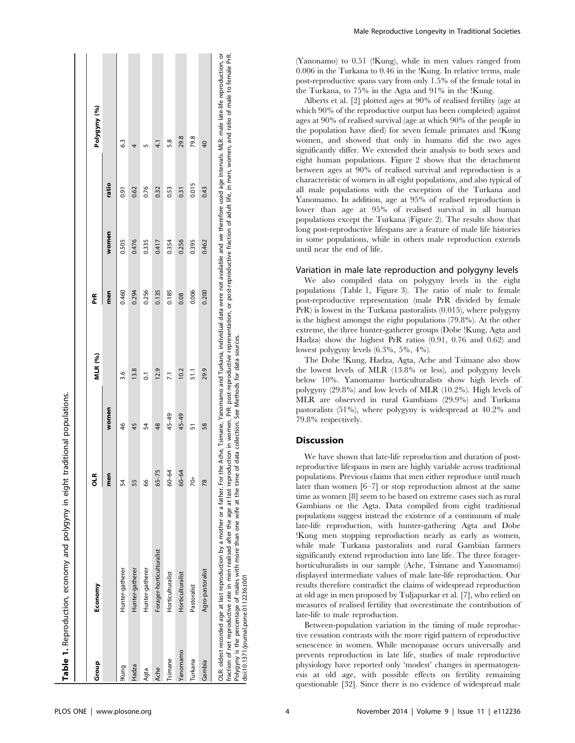| Group                                 | Economy                                                                                                                                                                                                                                                                                                                                                                                                                                                                                                                                                                                      | 문             |               | MLR (%)         | PrR   |       |       | Polygyny (%)    |
|---------------------------------------|----------------------------------------------------------------------------------------------------------------------------------------------------------------------------------------------------------------------------------------------------------------------------------------------------------------------------------------------------------------------------------------------------------------------------------------------------------------------------------------------------------------------------------------------------------------------------------------------|---------------|---------------|-----------------|-------|-------|-------|-----------------|
|                                       |                                                                                                                                                                                                                                                                                                                                                                                                                                                                                                                                                                                              | men           | women         |                 | men   | women | ratio |                 |
| !Kung                                 | Hunter-gatherer                                                                                                                                                                                                                                                                                                                                                                                                                                                                                                                                                                              | 54            | 46            | 3.6             | 0.460 | 0.505 | 0.91  | 63              |
| Hadza                                 | Hunter-gatherer                                                                                                                                                                                                                                                                                                                                                                                                                                                                                                                                                                              | 55            | 45            | 13.8            | 0.294 | 0.476 | 0.62  |                 |
| Agta                                  | Hunter-gatherer                                                                                                                                                                                                                                                                                                                                                                                                                                                                                                                                                                              | 8             | 54            | ៑               | 0.256 | 0.335 | 0.76  |                 |
| Ache                                  | Forager-horticulturalist                                                                                                                                                                                                                                                                                                                                                                                                                                                                                                                                                                     | $65 - 75$     | $\frac{8}{3}$ | 12.9            | 0.135 | 0.417 | 0.32  | ্য<br>ব         |
| Tsimane                               | Horticulturalist                                                                                                                                                                                                                                                                                                                                                                                                                                                                                                                                                                             | 60-64         | 45-49         | $\overline{21}$ | 0.185 | 0.354 | 0.53  | 5.8             |
| Yanomamo                              | Horticulturalist                                                                                                                                                                                                                                                                                                                                                                                                                                                                                                                                                                             | $60 - 64$     | 45-49         | 10.2            | 0.08  | 0.256 | 0.31  | 29.8            |
| Turkana                               | Pastoralist                                                                                                                                                                                                                                                                                                                                                                                                                                                                                                                                                                                  | $\frac{1}{2}$ | 57            | 51.1            | 0.006 | 0.395 | 0.015 | 79.8            |
| Gambia                                | Agro-pastoralist                                                                                                                                                                                                                                                                                                                                                                                                                                                                                                                                                                             | $\frac{8}{2}$ | 58            | 29.9            | 0.200 | 0.462 | 0.43  | $\overline{40}$ |
| doi:10.1371/journal.pone.0112236.t001 | OLR: oldest recorded age at last reproduction by a mother or a father For the Ache, Tsimane, Yanomamo and Turkana, individual data were not available and we therefore used age intervals. MLR: male late-life reproduction, o<br>fraction of net reproductive rate in men realised after the age at last reproduction in women. PrR: post-reproductive representation, or post-reproductive fraction of adult life, in men, women, and ratio of male to female<br>Polygyny is the percentage of males with more than one wife at the time of data collection. See Methods for data sources. |               |               |                 |       |       |       |                 |

Male Reproductive Longevity in Traditional Societies

(Yanonamo) to 0.51 (!Kung), while in men values ranged from 0.006 in the Turkana to 0.46 in the !Kung. In relative terms, male post-reproductive spans vary from only 1.5% of the female total in the Turkana, to 75% in the Agta and 91% in the !Kung.

Alberts et al. [2] plotted ages at 90% of realised fertility (age at which 90% of the reproductive output has been completed) against ages at 90% of realised survival (age at which 90% of the people in the population have died) for seven female primates and !Kung women, and showed that only in humans did the two ages significantly differ. We extended their analysis to both sexes and eight human populations. Figure 2 shows that the detachment between ages at 90% of realised survival and reproduction is a characteristic of women in all eight populations, and also typical of all male populations with the exception of the Turkana and Yanomamo. In addition, age at 95% of realised reproduction is lower than age at 95% of realised survival in all human populations except the Turkana (Figure 2). The results show that long post-reproductive lifespans are a feature of male life histories in some populations, while in others male reproduction extends until near the end of life.

## Variation in male late reproduction and polygyny levels

We also compiled data on polygyny levels in the eight populations (Table 1, Figure 3). The ratio of male to female post-reproductive representation (male PrR divided by female PrR) is lowest in the Turkana pastoralists (0.015), where polygyny is the highest amongst the eight populations (79.8%). At the other extreme, the three hunter-gatherer groups (Dobe !Kung, Agta and Hadza) show the highest PrR ratios (0.91, 0.76 and 0.62) and lowest polygyny levels (6.3%, 5%, 4%).

The Dobe !Kung, Hadza, Agta, Ache and Tsimane also show the lowest levels of MLR (13.8% or less), and polygyny levels below 10%. Yanomamo horticulturalists show high levels of polygyny (29.8%) and low levels of MLR (10.2%). High levels of MLR are observed in rural Gambians (29.9%) and Turkana pastoralists (51%), where polygyny is widespread at 40.2% and 79.8% respectively.

## **Discussion**

We have shown that late-life reproduction and duration of postreproductive lifespans in men are highly variable across traditional populations. Previous claims that men either reproduce until much later than women [6–7] or stop reproduction almost at the same time as women [8] seem to be based on extreme cases such as rural Gambians or the Agta. Data compiled from eight traditional populations suggest instead the existence of a continuum of male late-life reproduction, with hunter-gathering Agta and Dobe !Kung men stopping reproduction nearly as early as women, while male Turkana pastoralists and rural Gambian farmers significantly extend reproduction into late life. The three foragerhorticulturalists in our sample (Ache, Tsimane and Yanomamo) displayed intermediate values of male late-life reproduction. Our results therefore contradict the claims of widespread reproduction at old age in men proposed by Tuljapurkar et al. [7], who relied on measures of realised fertility that overestimate the contribution of late-life to male reproduction.

Between-population variation in the timing of male reproductive cessation contrasts with the more rigid pattern of reproductive senescence in women. While menopause occurs universally and prevents reproduction in late life, studies of male reproductive physiology have reported only 'modest' changes in spermatogenesis at old age, with possible effects on fertility remaining questionable [32]. Since there is no evidence of widespread male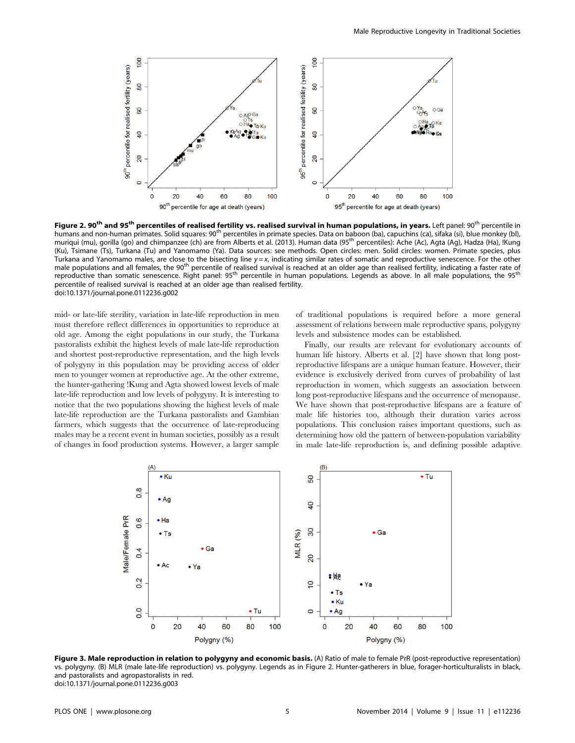

Figure 2. 90<sup>th</sup> and 95<sup>th</sup> percentiles of realised fertility vs. realised survival in human populations, in years. Left panel: 90<sup>th</sup> percentile in humans and non-human primates. Solid squares: 90<sup>th</sup> percentiles in primate species. Data on baboon (ba), capuchins (ca), sifaka (si), blue monkey (bl), muriqui (mu), gorilla (go) and chimpanzee (ch) are from Alberts et al. (2013). Human data (95<sup>th</sup> percentiles): Ache (Ac), Agta (Ag), Hadza (Ha), !Kung (Ku), Tsimane (Ts), Turkana (Tu) and Yanomamo (Ya). Data sources: see methods. Open circles: men. Solid circles: women. Primate species, plus Turkana and Yanomamo males, are close to the bisecting line  $y = x$ , indicating similar rates of somatic and reproductive senescence. For the other male populations and all females, the 90<sup>th</sup> percentile of realised survival is reached at an older age than realised fertility, indicating a faster rate of reproductive than somatic senescence. Right panel: 95<sup>th</sup> percentile in human populations. Legends as above. In all male populations, the 95<sup>th</sup> percentile of realised survival is reached at an older age than realised fertility. doi:10.1371/journal.pone.0112236.g002

mid- or late-life sterility, variation in late-life reproduction in men must therefore reflect differences in opportunities to reproduce at old age. Among the eight populations in our study, the Turkana pastoralists exhibit the highest levels of male late-life reproduction and shortest post-reproductive representation, and the high levels of polygyny in this population may be providing access of older men to younger women at reproductive age. At the other extreme, the hunter-gathering !Kung and Agta showed lowest levels of male late-life reproduction and low levels of polygyny. It is interesting to notice that the two populations showing the highest levels of male late-life reproduction are the Turkana pastoralists and Gambian farmers, which suggests that the occurrence of late-reproducing males may be a recent event in human societies, possibly as a result of changes in food production systems. However, a larger sample of traditional populations is required before a more general assessment of relations between male reproductive spans, polygyny levels and subsistence modes can be established.

Finally, our results are relevant for evolutionary accounts of human life history. Alberts et al. [2] have shown that long postreproductive lifespans are a unique human feature. However, their evidence is exclusively derived from curves of probability of last reproduction in women, which suggests an association between long post-reproductive lifespans and the occurrence of menopause. We have shown that post-reproductive lifespans are a feature of male life histories too, although their duration varies across populations. This conclusion raises important questions, such as determining how old the pattern of between-population variability in male late-life reproduction is, and defining possible adaptive



Figure 3. Male reproduction in relation to polygyny and economic basis. (A) Ratio of male to female PrR (post-reproductive representation) vs. polygyny. (B) MLR (male late-life reproduction) vs. polygyny. Legends as in Figure 2. Hunter-gatherers in blue, forager-horticulturalists in black, and pastoralists and agropastoralists in red. doi:10.1371/journal.pone.0112236.g003